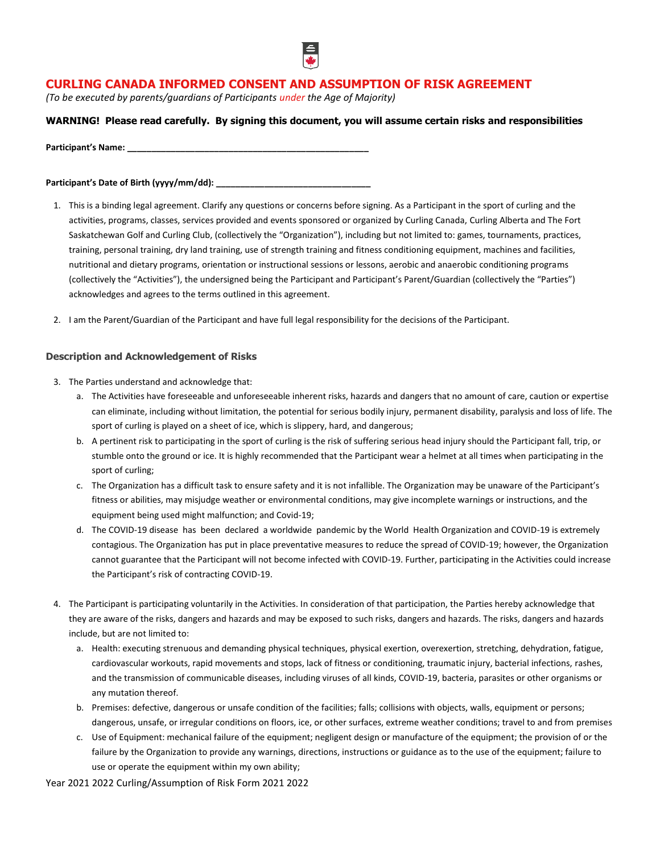

# **CURLING CANADA INFORMED CONSENT AND ASSUMPTION OF RISK AGREEMENT**

*(To be executed by parents/guardians of Participants under the Age of Majority)*

## **WARNING! Please read carefully. By signing this document, you will assume certain risks and responsibilities**

Participant's Name:

## Participant's Date of Birth (yyyy/mm/dd): \_\_\_\_\_

- 1. This is a binding legal agreement. Clarify any questions or concerns before signing. As a Participant in the sport of curling and the activities, programs, classes, services provided and events sponsored or organized by Curling Canada, Curling Alberta and The Fort Saskatchewan Golf and Curling Club, (collectively the "Organization"), including but not limited to: games, tournaments, practices, training, personal training, dry land training, use of strength training and fitness conditioning equipment, machines and facilities, nutritional and dietary programs, orientation or instructional sessions or lessons, aerobic and anaerobic conditioning programs (collectively the "Activities"), the undersigned being the Participant and Participant's Parent/Guardian (collectively the "Parties") acknowledges and agrees to the terms outlined in this agreement.
- 2. I am the Parent/Guardian of the Participant and have full legal responsibility for the decisions of the Participant.

## **Description and Acknowledgement of Risks**

- 3. The Parties understand and acknowledge that:
	- a. The Activities have foreseeable and unforeseeable inherent risks, hazards and dangers that no amount of care, caution or expertise can eliminate, including without limitation, the potential for serious bodily injury, permanent disability, paralysis and loss of life. The sport of curling is played on a sheet of ice, which is slippery, hard, and dangerous;
	- b. A pertinent risk to participating in the sport of curling is the risk of suffering serious head injury should the Participant fall, trip, or stumble onto the ground or ice. It is highly recommended that the Participant wear a helmet at all times when participating in the sport of curling;
	- c. The Organization has a difficult task to ensure safety and it is not infallible. The Organization may be unaware of the Participant's fitness or abilities, may misjudge weather or environmental conditions, may give incomplete warnings or instructions, and the equipment being used might malfunction; and Covid-19;
	- d. The COVID-19 disease has been declared a worldwide pandemic by the World Health Organization and COVID-19 is extremely contagious. The Organization has put in place preventative measures to reduce the spread of COVID-19; however, the Organization cannot guarantee that the Participant will not become infected with COVID-19. Further, participating in the Activities could increase the Participant's risk of contracting COVID-19.
- 4. The Participant is participating voluntarily in the Activities. In consideration of that participation, the Parties hereby acknowledge that they are aware of the risks, dangers and hazards and may be exposed to such risks, dangers and hazards. The risks, dangers and hazards include, but are not limited to:
	- a. Health: executing strenuous and demanding physical techniques, physical exertion, overexertion, stretching, dehydration, fatigue, cardiovascular workouts, rapid movements and stops, lack of fitness or conditioning, traumatic injury, bacterial infections, rashes, and the transmission of communicable diseases, including viruses of all kinds, COVID-19, bacteria, parasites or other organisms or any mutation thereof.
	- b. Premises: defective, dangerous or unsafe condition of the facilities; falls; collisions with objects, walls, equipment or persons; dangerous, unsafe, or irregular conditions on floors, ice, or other surfaces, extreme weather conditions; travel to and from premises
	- c. Use of Equipment: mechanical failure of the equipment; negligent design or manufacture of the equipment; the provision of or the failure by the Organization to provide any warnings, directions, instructions or guidance as to the use of the equipment; failure to use or operate the equipment within my own ability;

Year 2021 2022 Curling/Assumption of Risk Form 2021 2022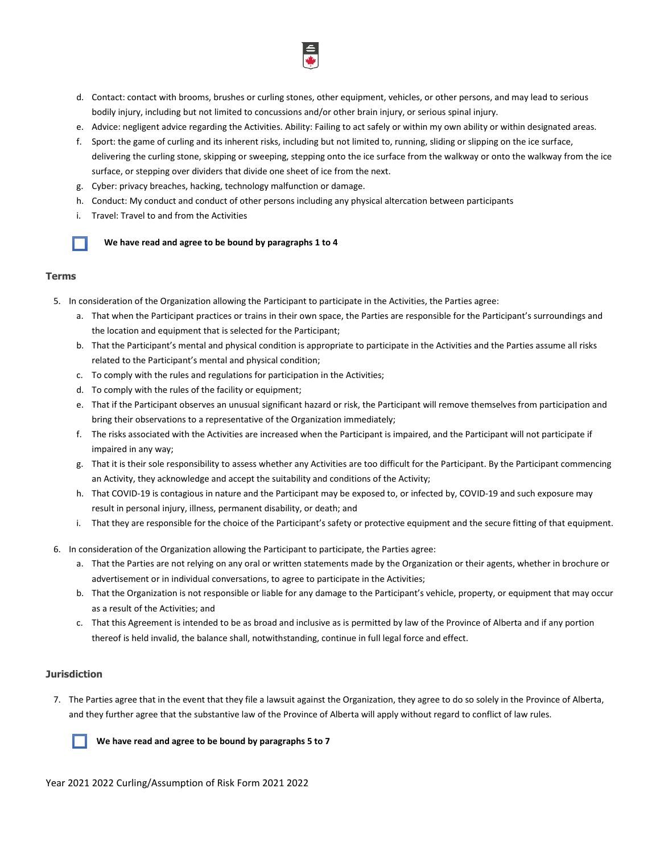- d. Contact: contact with brooms, brushes or curling stones, other equipment, vehicles, or other persons, and may lead to serious bodily injury, including but not limited to concussions and/or other brain injury, or serious spinal injury.
- e. Advice: negligent advice regarding the Activities. Ability: Failing to act safely or within my own ability or within designated areas.
- f. Sport: the game of curling and its inherent risks, including but not limited to, running, sliding or slipping on the ice surface, delivering the curling stone, skipping or sweeping, stepping onto the ice surface from the walkway or onto the walkway from the ice surface, or stepping over dividers that divide one sheet of ice from the next.
- g. Cyber: privacy breaches, hacking, technology malfunction or damage.
- h. Conduct: My conduct and conduct of other persons including any physical altercation between participants
- i. Travel: Travel to and from the Activities



## **Terms**

- 5. In consideration of the Organization allowing the Participant to participate in the Activities, the Parties agree:
	- a. That when the Participant practices or trains in their own space, the Parties are responsible for the Participant's surroundings and the location and equipment that is selected for the Participant;
	- b. That the Participant's mental and physical condition is appropriate to participate in the Activities and the Parties assume all risks related to the Participant's mental and physical condition;
	- c. To comply with the rules and regulations for participation in the Activities;
	- d. To comply with the rules of the facility or equipment;
	- e. That if the Participant observes an unusual significant hazard or risk, the Participant will remove themselves from participation and bring their observations to a representative of the Organization immediately;
	- f. The risks associated with the Activities are increased when the Participant is impaired, and the Participant will not participate if impaired in any way;
	- g. That it is their sole responsibility to assess whether any Activities are too difficult for the Participant. By the Participant commencing an Activity, they acknowledge and accept the suitability and conditions of the Activity;
	- h. That COVID-19 is contagious in nature and the Participant may be exposed to, or infected by, COVID-19 and such exposure may result in personal injury, illness, permanent disability, or death; and
	- i. That they are responsible for the choice of the Participant's safety or protective equipment and the secure fitting of that equipment.
- 6. In consideration of the Organization allowing the Participant to participate, the Parties agree:
	- a. That the Parties are not relying on any oral or written statements made by the Organization or their agents, whether in brochure or advertisement or in individual conversations, to agree to participate in the Activities;
	- b. That the Organization is not responsible or liable for any damage to the Participant's vehicle, property, or equipment that may occur as a result of the Activities; and
	- c. That this Agreement is intended to be as broad and inclusive as is permitted by law of the Province of Alberta and if any portion thereof is held invalid, the balance shall, notwithstanding, continue in full legal force and effect.

#### **Jurisdiction**

7. The Parties agree that in the event that they file a lawsuit against the Organization, they agree to do so solely in the Province of Alberta, and they further agree that the substantive law of the Province of Alberta will apply without regard to conflict of law rules.

 **We have read and agree to be bound by paragraphs 5 to 7**

Year 2021 2022 Curling/Assumption of Risk Form 2021 2022